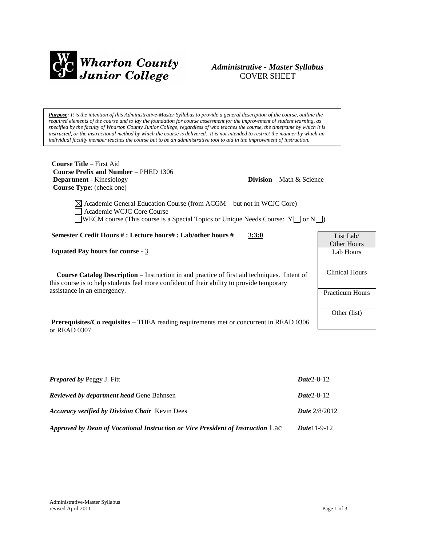

# *Administrative - Master Syllabus*  COVER SHEET

*Purpose: It is the intention of this Administrative-Master Syllabus to provide a general description of the course, outline the required elements of the course and to lay the foundation for course assessment for the improvement of student learning, as specified by the faculty of Wharton County Junior College, regardless of who teaches the course, the timeframe by which it is instructed, or the instructional method by which the course is delivered. It is not intended to restrict the manner by which an individual faculty member teaches the course but to be an administrative tool to aid in the improvement of instruction.*

**Course Title** – First Aid  **Course Prefix and Number** – PHED 1306 **Department** - Kinesiology **Division** – Math & Science  **Course Type**: (check one)

 $\boxtimes$  Academic General Education Course (from ACGM – but not in WCJC Core) Academic WCJC Core Course  $\Box$ WECM course (This course is a Special Topics or Unique Needs Course: Y $\Box$  or N $\Box$ )

**Semester Credit Hours # : Lecture hours# : Lab/other hours #** 3**:3:0**

**Equated Pay hours for course** - 3

 **Course Catalog Description** – Instruction in and practice of first aid techniques. Intent of this course is to help students feel more confident of their ability to provide temporary assistance in an emergency.

**Prerequisites/Co requisites** – THEA reading requirements met or concurrent in READ 0306 or READ 0307

| <b>Prepared by Peggy J. Fitt</b>                                                | $Date2 - 8 - 12$       |
|---------------------------------------------------------------------------------|------------------------|
| <b>Reviewed by department head Gene Bahnsen</b>                                 | $Date2 - 8 - 12$       |
| <b>Accuracy verified by Division Chair</b> Kevin Dees                           | <b>Date</b> $2/8/2012$ |
| Approved by Dean of Vocational Instruction or Vice President of Instruction Lac | <b>Date</b> 11-9-12    |

List Lab/ Other Hours Lab Hours

Clinical Hours

Practicum Hours

Other (list)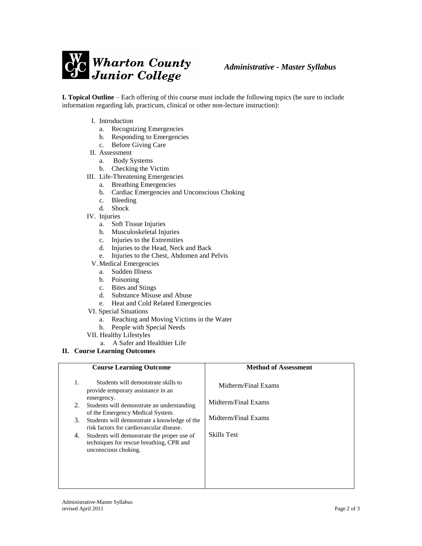

**I. Topical Outline** – Each offering of this course must include the following topics (be sure to include information regarding lab, practicum, clinical or other non-lecture instruction):

- I. Introduction
	- a. Recognizing Emergencies
	- b. Responding to Emergencies
	- c. Before Giving Care
- II. Assessment
	- a. Body Systems
	- b. Checking the Victim
- III. Life-Threatening Emergencies
	- a. Breathing Emergencies
	- b. Cardiac Emergencies and Unconscious Choking
	- c. Bleeding
	- d. Shock
- IV. Injuries
	- a. Soft Tissue Injuries
	- b. Musculoskeletal Injuries
	- c. Injuries to the Extremities
	- d. Injuries to the Head, Neck and Back
	- e. Injuries to the Chest, Abdomen and Pelvis
	- V. Medical Emergencies
		- a. Sudden Illness
		- b. Poisoning
		- c. Bites and Stings
		- d. Substance Misuse and Abuse
		- e. Heat and Cold Related Emergencies
- VI. Special Situations
	- a. Reaching and Moving Victims in the Water
	- b. People with Special Needs
- VII. Healthy Lifestyles
	- a. A Safer and Healthier Life

**II. Course Learning Outcomes**

|                      | <b>Course Learning Outcome</b>                                                                                                                                                                                                                                                                                                                                                           | <b>Method of Assessment</b>                                                             |
|----------------------|------------------------------------------------------------------------------------------------------------------------------------------------------------------------------------------------------------------------------------------------------------------------------------------------------------------------------------------------------------------------------------------|-----------------------------------------------------------------------------------------|
| 1.<br>2.<br>3.<br>4. | Students will demonstrate skills to<br>provide temporary assistance in an<br>emergency.<br>Students will demonstrate an understanding<br>of the Emergency Medical System.<br>Students will demonstrate a knowledge of the<br>risk factors for cardiovascular disease.<br>Students will demonstrate the proper use of<br>techniques for rescue breathing, CPR and<br>unconscious choking. | Midterm/Final Exams<br>Midterm/Final Exams<br>Midterm/Final Exams<br><b>Skills Test</b> |
|                      |                                                                                                                                                                                                                                                                                                                                                                                          |                                                                                         |